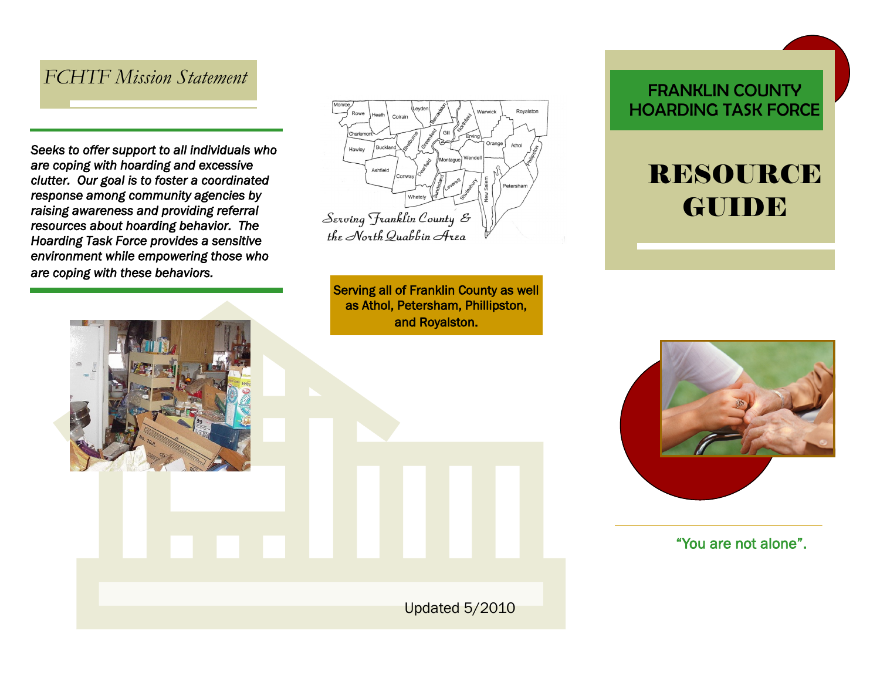#### *FCHTF Mission Statement*

*Seeks to offer support to all individuals who are coping with hoarding and excessive clutter. Our goal is to foster a coordinated response among community agencies by raising awareness and providing referral resources about hoarding behavior. The Hoarding Task Force provides a sensitive environment while empowering those who are coping with these behaviors.* 

Royalston Orange Ashfield Serving Franklin County & the North Quabbin Area

Serving all of Franklin County as well as Athol, Petersham, Phillipston, and Royalston.

Updated 5/2010

#### FRANKLIN COUNTY HOARDING TASK FORCE

# RESOURCE GUIDE



"You are not alone".